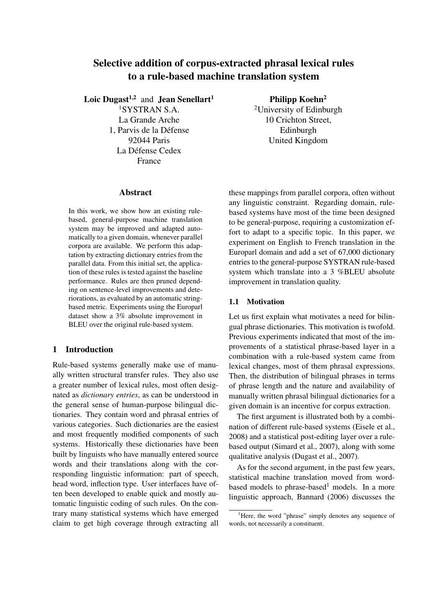# Selective addition of corpus-extracted phrasal lexical rules to a rule-based machine translation system

Loic Dugast<sup>1,2</sup> and Jean Senellart<sup>1</sup>

<sup>1</sup>SYSTRAN S.A. La Grande Arche 1, Parvis de la Défense 92044 Paris La Défense Cedex France

Philipp Koehn<sup>2</sup>

<sup>2</sup>University of Edinburgh 10 Crichton Street, Edinburgh United Kingdom

#### Abstract

In this work, we show how an existing rulebased, general-purpose machine translation system may be improved and adapted automatically to a given domain, whenever parallel corpora are available. We perform this adaptation by extracting dictionary entries from the parallel data. From this initial set, the application of these rules is tested against the baseline performance. Rules are then pruned depending on sentence-level improvements and deteriorations, as evaluated by an automatic stringbased metric. Experiments using the Europarl dataset show a 3% absolute improvement in BLEU over the original rule-based system.

## 1 Introduction

Rule-based systems generally make use of manually written structural transfer rules. They also use a greater number of lexical rules, most often designated as *dictionary entries*, as can be understood in the general sense of human-purpose bilingual dictionaries. They contain word and phrasal entries of various categories. Such dictionaries are the easiest and most frequently modified components of such systems. Historically these dictionaries have been built by linguists who have manually entered source words and their translations along with the corresponding linguistic information: part of speech, head word, inflection type. User interfaces have often been developed to enable quick and mostly automatic linguistic coding of such rules. On the contrary many statistical systems which have emerged claim to get high coverage through extracting all

these mappings from parallel corpora, often without any linguistic constraint. Regarding domain, rulebased systems have most of the time been designed to be general-purpose, requiring a customization effort to adapt to a specific topic. In this paper, we experiment on English to French translation in the Europarl domain and add a set of 67,000 dictionary entries to the general-purpose SYSTRAN rule-based system which translate into a 3 %BLEU absolute improvement in translation quality.

#### 1.1 Motivation

Let us first explain what motivates a need for bilingual phrase dictionaries. This motivation is twofold. Previous experiments indicated that most of the improvements of a statistical phrase-based layer in a combination with a rule-based system came from lexical changes, most of them phrasal expressions. Then, the distribution of bilingual phrases in terms of phrase length and the nature and availability of manually written phrasal bilingual dictionaries for a given domain is an incentive for corpus extraction.

The first argument is illustrated both by a combination of different rule-based systems (Eisele et al., 2008) and a statistical post-editing layer over a rulebased output (Simard et al., 2007), along with some qualitative analysis (Dugast et al., 2007).

As for the second argument, in the past few years, statistical machine translation moved from wordbased models to phrase-based<sup>1</sup> models. In a more linguistic approach, Bannard (2006) discusses the

 ${}^{1}$ Here, the word "phrase" simply denotes any sequence of words, not necessarily a constituent.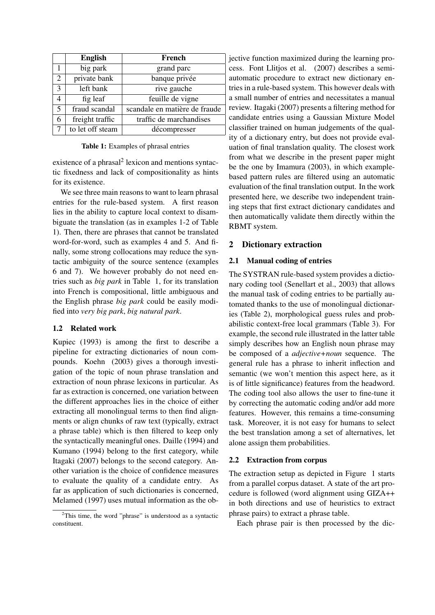|                | <b>English</b>   | French                        |
|----------------|------------------|-------------------------------|
|                | big park         | grand parc                    |
| 2              | private bank     | banque privée                 |
| $\overline{3}$ | left bank        | rive gauche                   |
| 4              | fig leaf         | feuille de vigne              |
| 5              | fraud scandal    | scandale en matière de fraude |
| 6              | freight traffic  | traffic de marchandises       |
| $\overline{7}$ | to let off steam | décompresser                  |

Table 1: Examples of phrasal entries

existence of a phrasal<sup>2</sup> lexicon and mentions syntactic fixedness and lack of compositionality as hints for its existence.

We see three main reasons to want to learn phrasal entries for the rule-based system. A first reason lies in the ability to capture local context to disambiguate the translation (as in examples 1-2 of Table 1). Then, there are phrases that cannot be translated word-for-word, such as examples 4 and 5. And finally, some strong collocations may reduce the syntactic ambiguity of the source sentence (examples 6 and 7). We however probably do not need entries such as *big park* in Table 1, for its translation into French is compositional, little ambiguous and the English phrase *big park* could be easily modified into *very big park*, *big natural park*.

## 1.2 Related work

Kupiec (1993) is among the first to describe a pipeline for extracting dictionaries of noun compounds. Koehn (2003) gives a thorough investigation of the topic of noun phrase translation and extraction of noun phrase lexicons in particular. As far as extraction is concerned, one variation between the different approaches lies in the choice of either extracting all monolingual terms to then find alignments or align chunks of raw text (typically, extract a phrase table) which is then filtered to keep only the syntactically meaningful ones. Daille (1994) and Kumano (1994) belong to the first category, while Itagaki (2007) belongs to the second category. Another variation is the choice of confidence measures to evaluate the quality of a candidate entry. As far as application of such dictionaries is concerned, Melamed (1997) uses mutual information as the ob-

jective function maximized during the learning process. Font Llitjos et al. (2007) describes a semiautomatic procedure to extract new dictionary entries in a rule-based system. This however deals with a small number of entries and necessitates a manual review. Itagaki (2007) presents a filtering method for candidate entries using a Gaussian Mixture Model classifier trained on human judgements of the quality of a dictionary entry, but does not provide evaluation of final translation quality. The closest work from what we describe in the present paper might be the one by Imamura (2003), in which examplebased pattern rules are filtered using an automatic evaluation of the final translation output. In the work presented here, we describe two independent training steps that first extract dictionary candidates and then automatically validate them directly within the RBMT system.

## 2 Dictionary extraction

### 2.1 Manual coding of entries

The SYSTRAN rule-based system provides a dictionary coding tool (Senellart et al., 2003) that allows the manual task of coding entries to be partially automated thanks to the use of monolingual dictionaries (Table 2), morphological guess rules and probabilistic context-free local grammars (Table 3). For example, the second rule illustrated in the latter table simply describes how an English noun phrase may be composed of a *adjective+noun* sequence. The general rule has a phrase to inherit inflection and semantic (we won't mention this aspect here, as it is of little significance) features from the headword. The coding tool also allows the user to fine-tune it by correcting the automatic coding and/or add more features. However, this remains a time-consuming task. Moreover, it is not easy for humans to select the best translation among a set of alternatives, let alone assign them probabilities.

### 2.2 Extraction from corpus

The extraction setup as depicted in Figure 1 starts from a parallel corpus dataset. A state of the art procedure is followed (word alignment using GIZA++ in both directions and use of heuristics to extract phrase pairs) to extract a phrase table.

Each phrase pair is then processed by the dic-

 $2$ This time, the word "phrase" is understood as a syntactic constituent.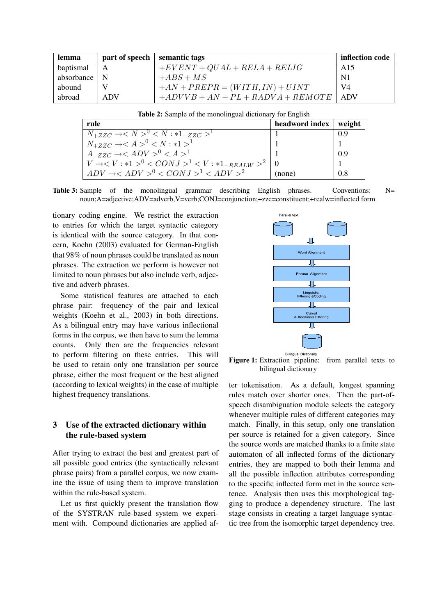| lemma      | part of speech | semantic tags                       | inflection code |
|------------|----------------|-------------------------------------|-----------------|
| baptismal  | $\mathsf{A}$   | $+EVENT+QUAL+RELA+RELIG$            | A15             |
| absorbance | N              | $+ABS+MS$                           | N <sub>1</sub>  |
| abound     |                | $+AN + PREPR = (WITH, IN) + UINT$   | V4              |
| abroad     | <b>ADV</b>     | $+ADVVB + AN + PL + RADVA + REMOTE$ | ADV             |

| rule                                                            | headword index   weight |     |
|-----------------------------------------------------------------|-------------------------|-----|
| $N_{+ZZC} \rightarrow < N >^0 < N : *1_{-ZZC} >^1$              |                         | 0.9 |
| $N_{+ZZC} \rightarrow < A >^0 < N : *1 >^1$                     |                         |     |
| $A_{+ZZC} \rightarrow < ADV > 0 < A > 1$                        |                         | 0.9 |
| $V \rightarrow < V : *1 >^0 < CONJ >^1 < V : *1_{-REALW} >^2 0$ |                         |     |
| $ADV \rightarrow ^0 < CONJ >^1 < ADV >^2$                       | (none)                  | 0.8 |

Table 2: Sample of the monolingual dictionary for English

**Table 3:** Sample of the monolingual grammar describing English phrases. Conventions:  $N=$ noun;A=adjective;ADV=adverb,V=verb;CONJ=conjunction;+zzc=constituent;+realw=inflected form

tionary coding engine. We restrict the extraction to entries for which the target syntactic category is identical with the source category. In that concern, Koehn (2003) evaluated for German-English that 98% of noun phrases could be translated as noun phrases. The extraction we perform is however not limited to noun phrases but also include verb, adjective and adverb phrases.

Some statistical features are attached to each phrase pair: frequency of the pair and lexical weights (Koehn et al., 2003) in both directions. As a bilingual entry may have various inflectional forms in the corpus, we then have to sum the lemma counts. Only then are the frequencies relevant to perform filtering on these entries. This will be used to retain only one translation per source phrase, either the most frequent or the best aligned (according to lexical weights) in the case of multiple highest frequency translations.

# 3 Use of the extracted dictionary within the rule-based system

After trying to extract the best and greatest part of all possible good entries (the syntactically relevant phrase pairs) from a parallel corpus, we now examine the issue of using them to improve translation within the rule-based system.

Let us first quickly present the translation flow of the SYSTRAN rule-based system we experiment with. Compound dictionaries are applied af-



Figure 1: Extraction pipeline: from parallel texts to bilingual dictionary

ter tokenisation. As a default, longest spanning rules match over shorter ones. Then the part-ofspeech disambiguation module selects the category whenever multiple rules of different categories may match. Finally, in this setup, only one translation per source is retained for a given category. Since the source words are matched thanks to a finite state automaton of all inflected forms of the dictionary entries, they are mapped to both their lemma and all the possible inflection attributes corresponding to the specific inflected form met in the source sentence. Analysis then uses this morphological tagging to produce a dependency structure. The last stage consists in creating a target language syntactic tree from the isomorphic target dependency tree.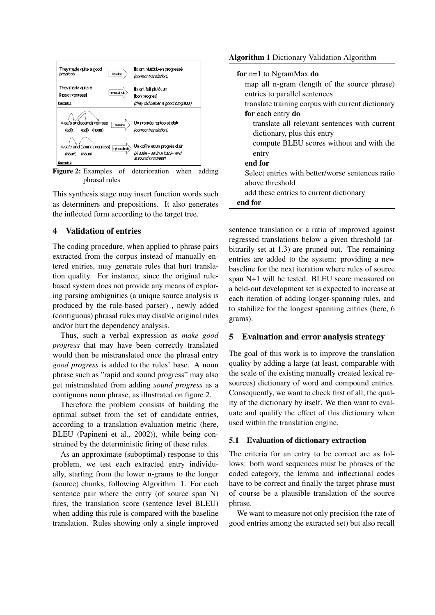

Figure 2: Examples of deterioration when adding phrasal rules

This synthesis stage may insert function words such as determiners and prepositions. It also generates the inflected form according to the target tree.

### 4 Validation of entries

The coding procedure, when applied to phrase pairs extracted from the corpus instead of manually entered entries, may generate rules that hurt translation quality. For instance, since the original rulebased system does not provide any means of exploring parsing ambiguities (a unique source analysis is produced by the rule-based parser) , newly added (contiguous) phrasal rules may disable original rules and/or hurt the dependency analysis.

Thus, such a verbal expression as *make good progress* that may have been correctly translated would then be mistranslated once the phrasal entry *good progress* is added to the rules' base. A noun phrase such as "rapid and sound progress" may also get mistranslated from adding *sound progress* as a contiguous noun phrase, as illustrated on figure 2.

Therefore the problem consists of building the optimal subset from the set of candidate entries, according to a translation evaluation metric (here, BLEU (Papineni et al., 2002)), while being constrained by the deterministic firing of these rules.

As an approximate (suboptimal) response to this problem, we test each extracted entry individually, starting from the lower n-grams to the longer (source) chunks, following Algorithm 1. For each sentence pair where the entry (of source span N) fires, the translation score (sentence level BLEU) when adding this rule is compared with the baseline translation. Rules showing only a single improved

| for $n=1$ to NgramMax do                          |
|---------------------------------------------------|
|                                                   |
| map all n-gram (length of the source phrase)      |
| entries to parallel sentences                     |
| translate training corpus with current dictionary |
| for each entry do                                 |
| translate all relevant sentences with current     |
| dictionary, plus this entry                       |
| compute BLEU scores without and with the          |
| entry                                             |
| end for                                           |
| Select entries with better/worse sentences ratio  |
| above threshold                                   |
| add these entries to current dictionary           |
| end for                                           |

sentence translation or a ratio of improved against regressed translations below a given threshold (arbitrarily set at 1.3) are pruned out. The remaining entries are added to the system; providing a new baseline for the next iteration where rules of source span N+1 will be tested. BLEU score measured on a held-out development set is expected to increase at each iteration of adding longer-spanning rules, and to stabilize for the longest spanning entries (here, 6 grams).

### 5 Evaluation and error analysis strategy

The goal of this work is to improve the translation quality by adding a large (at least, comparable with the scale of the existing manually created lexical resources) dictionary of word and compound entries. Consequently, we want to check first of all, the quality of the dictionary by itself. We then want to evaluate and qualify the effect of this dictionary when used within the translation engine.

#### 5.1 Evaluation of dictionary extraction

The criteria for an entry to be correct are as follows: both word sequences must be phrases of the coded category, the lemma and inflectional codes have to be correct and finally the target phrase must of course be a plausible translation of the source phrase.

We want to measure not only precision (the rate of good entries among the extracted set) but also recall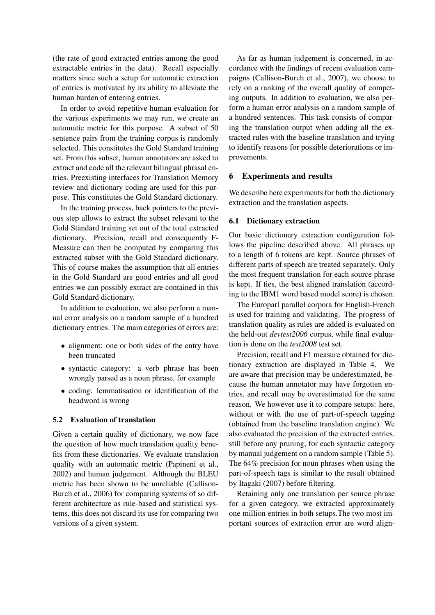(the rate of good extracted entries among the good extractable entries in the data). Recall especially matters since such a setup for automatic extraction of entries is motivated by its ability to alleviate the human burden of entering entries.

In order to avoid repetitive human evaluation for the various experiments we may run, we create an automatic metric for this purpose. A subset of 50 sentence pairs from the training corpus is randomly selected. This constitutes the Gold Standard training set. From this subset, human annotators are asked to extract and code all the relevant bilingual phrasal entries. Preexisting interfaces for Translation Memory review and dictionary coding are used for this purpose. This constitutes the Gold Standard dictionary.

In the training process, back pointers to the previous step allows to extract the subset relevant to the Gold Standard training set out of the total extracted dictionary. Precision, recall and consequently F-Measure can then be computed by comparing this extracted subset with the Gold Standard dictionary. This of course makes the assumption that all entries in the Gold Standard are good entries and all good entries we can possibly extract are contained in this Gold Standard dictionary.

In addition to evaluation, we also perform a manual error analysis on a random sample of a hundred dictionary entries. The main categories of errors are:

- alignment: one or both sides of the entry have been truncated
- syntactic category: a verb phrase has been wrongly parsed as a noun phrase, for example
- coding: lemmatisation or identification of the headword is wrong

### 5.2 Evaluation of translation

Given a certain quality of dictionary, we now face the question of how much translation quality benefits from these dictionaries. We evaluate translation quality with an automatic metric (Papineni et al., 2002) and human judgement. Although the BLEU metric has been shown to be unreliable (Callison-Burch et al., 2006) for comparing systems of so different architecture as rule-based and statistical systems, this does not discard its use for comparing two versions of a given system.

As far as human judgement is concerned, in accordance with the findings of recent evaluation campaigns (Callison-Burch et al., 2007), we choose to rely on a ranking of the overall quality of competing outputs. In addition to evaluation, we also perform a human error analysis on a random sample of a hundred sentences. This task consists of comparing the translation output when adding all the extracted rules with the baseline translation and trying to identify reasons for possible deteriorations or improvements.

### 6 Experiments and results

We describe here experiments for both the dictionary extraction and the translation aspects.

### 6.1 Dictionary extraction

Our basic dictionary extraction configuration follows the pipeline described above. All phrases up to a length of 6 tokens are kept. Source phrases of different parts of speech are treated separately. Only the most frequent translation for each source phrase is kept. If ties, the best aligned translation (according to the IBM1 word based model score) is chosen.

The Europarl parallel corpora for English-French is used for training and validating. The progress of translation quality as rules are added is evaluated on the held-out *devtest2006* corpus, while final evaluation is done on the *test2008* test set.

Precision, recall and F1 measure obtained for dictionary extraction are displayed in Table 4. We are aware that precision may be underestimated, because the human annotator may have forgotten entries, and recall may be overestimated for the same reason. We however use it to compare setups: here, without or with the use of part-of-speech tagging (obtained from the baseline translation engine). We also evaluated the precision of the extracted entries, still before any pruning, for each syntactic category by manual judgement on a random sample (Table 5). The 64% precision for noun phrases when using the part-of-speech tags is similar to the result obtained by Itagaki (2007) before filtering.

Retaining only one translation per source phrase for a given category, we extracted approximately one million entries in both setups.The two most important sources of extraction error are word align-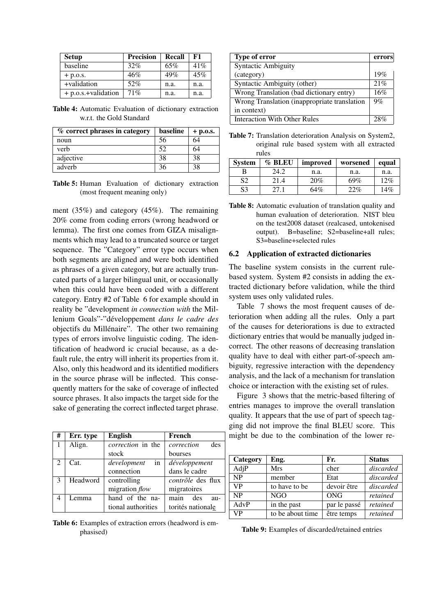| <b>Setup</b>        | <b>Precision</b> | Recall | F1   |
|---------------------|------------------|--------|------|
| baseline            | 32%              | 65%    | 41%  |
| $+$ p.o.s.          | 46%              | 49%    | 45%  |
| +validation         | 52%              | n.a.   | n.a. |
| + p.o.s.+validation | 71%              | n.a.   | n.a. |

Table 4: Automatic Evaluation of dictionary extraction w.r.t. the Gold Standard

| % correct phrases in category | baseline | $+$ p.o.s. |
|-------------------------------|----------|------------|
| noun                          | 56       | 64         |
| verb                          | 52       | 64         |
| adjective                     | 38       | 38         |
| adverb                        | 36       | 38         |

Table 5: Human Evaluation of dictionary extraction (most frequent meaning only)

ment (35%) and category (45%). The remaining 20% come from coding errors (wrong headword or lemma). The first one comes from GIZA misalignments which may lead to a truncated source or target sequence. The "Category" error type occurs when both segments are aligned and were both identified as phrases of a given category, but are actually truncated parts of a larger bilingual unit, or occasionally when this could have been coded with a different category. Entry #2 of Table 6 for example should in reality be "development *in connection with* the Millenium Goals"-"développement *dans le cadre des* objectifs du Millénaire". The other two remaining types of errors involve linguistic coding. The identification of headword ic crucial because, as a default rule, the entry will inherit its properties from it. Also, only this headword and its identified modifiers in the source phrase will be inflected. This consequently matters for the sake of coverage of inflected source phrases. It also impacts the target side for the sake of generating the correct inflected target phrase.

| #                             | Err. type | <b>English</b>           | French                   |
|-------------------------------|-----------|--------------------------|--------------------------|
|                               | Align.    | <i>correction</i> in the | des<br>correction        |
|                               |           | stock                    | bourses                  |
| $\mathfrak{D}_{\mathfrak{p}}$ | Cat.      | in<br>development        | développement            |
|                               |           | connection               | dans le cadre            |
| 3                             | Headword  | controlling              | <i>contrôle</i> des flux |
|                               |           | migration flow           | migratoires              |
| 4                             | Lemma     | hand of the na-          | des<br>main<br>au-       |
|                               |           | tional authorities       | torités nationale        |

Table 6: Examples of extraction errors (headword is emphasised)

| Type of error                                | errors |
|----------------------------------------------|--------|
| <b>Syntactic Ambiguity</b>                   |        |
| (category)                                   | 19%    |
| Syntactic Ambiguity (other)                  | 21%    |
| Wrong Translation (bad dictionary entry)     | 16%    |
| Wrong Translation (inappropriate translation | 9%     |
| in context)                                  |        |
| <b>Interaction With Other Rules</b>          | 28%    |

Table 7: Translation deterioration Analysis on System2, original rule based system with all extracted rules

| <b>System</b> | $\%$ BLEU | improved | worsened | equal |
|---------------|-----------|----------|----------|-------|
|               | 24.2      | n.a.     | n.a.     | n.a.  |
| S2            | 21.4      | 20%      | 69%      | 12%   |
| S3            | 27.1      | 64%      | 22%      | 14%   |

Table 8: Automatic evaluation of translation quality and human evaluation of deterioration. NIST bleu on the test2008 dataset (realcased, untokenised output). B=baseline; S2=baseline+all rules; S3=baseline+selected rules

#### 6.2 Application of extracted dictionaries

The baseline system consists in the current rulebased system. System #2 consists in adding the extracted dictionary before validation, while the third system uses only validated rules.

Table 7 shows the most frequent causes of deterioration when adding all the rules. Only a part of the causes for deteriorations is due to extracted dictionary entries that would be manually judged incorrect. The other reasons of decreasing translation quality have to deal with either part-of-speech ambiguity, regressive interaction with the dependency analysis, and the lack of a mechanism for translation choice or interaction with the existing set of rules.

Figure 3 shows that the metric-based filtering of entries manages to improve the overall translation quality. It appears that the use of part of speech tagging did not improve the final BLEU score. This might be due to the combination of the lower re-

| Category  | Eng.             | Fr.          | <b>Status</b> |
|-----------|------------------|--------------|---------------|
| AdjP      | <b>Mrs</b>       | cher         | discarded     |
| NP        | member           | Etat         | discarded     |
| <b>VP</b> | to have to be    | devoir être  | discarded     |
| NP        | NGO              | ONG          | retained      |
| AdvP      | in the past      | par le passé | retained      |
| <b>VP</b> | to be about time | être temps   | retained      |

Table 9: Examples of discarded/retained entries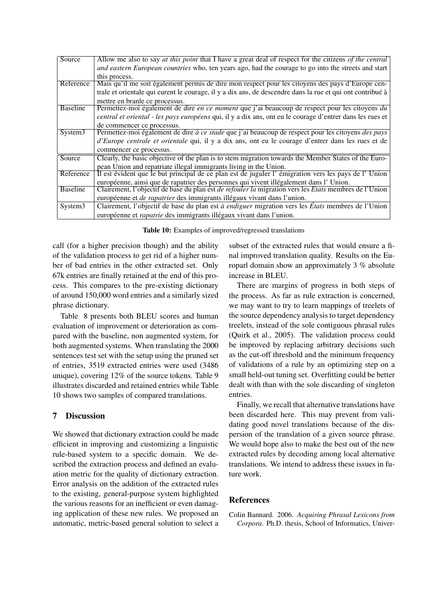| Source              | Allow me also to say <i>at this point</i> that I have a great deal of respect for the citizens <i>of the central</i> |
|---------------------|----------------------------------------------------------------------------------------------------------------------|
|                     | and eastern European countries who, ten years ago, had the courage to go into the streets and start                  |
|                     | this process.                                                                                                        |
| Reference           | Mais qu'il me soit également permis de dire mon respect pour les citoyens des pays d'Europe cen-                     |
|                     | trale et orientale qui eurent le courage, il y a dix ans, de descendre dans la rue et qui ont contribué à            |
|                     | mettre en branle ce processus.                                                                                       |
| <b>Baseline</b>     | Permettez-moi également de dire en ce moment que j'ai beaucoup de respect pour les citoyens du                       |
|                     | central et oriental - les pays européens qui, il y a dix ans, ont eu le courage d'entrer dans les rues et            |
|                     | de commencer ce processus.                                                                                           |
| System <sub>3</sub> | Permettez-moi également de dire à ce stade que j'ai beaucoup de respect pour les citoyens des pays                   |
|                     | d'Europe centrale et orientale qui, il y a dix ans, ont eu le courage d'entrer dans les rues et de                   |
|                     | commencer ce processus.                                                                                              |
| Source              | Clearly, the basic objective of the plan is to stem migration towards the Member States of the Euro-                 |
|                     | pean Union and repatriate illegal immigrants living in the Union.                                                    |
| Reference           | Il est évident que le but principal de ce plan est de juguler l'émigration vers les pays de l'Union                  |
|                     | européenne, ainsi que de rapatrier des personnes qui vivent illégalement dans l'Union.                               |
| <b>Baseline</b>     | Clairement, l'objectif de base du plan est <i>de refouler la</i> migration vers les <i>Etats</i> membres de l'Union  |
|                     | européenne et <i>de rapatrier</i> des immigrants illégaux vivant dans l'union.                                       |
| System <sub>3</sub> | Clairement, l'objectif de base du plan est à endiguer migration vers les États membres de l'Union                    |
|                     | européenne et <i>rapatrie</i> des immigrants illégaux vivant dans l'union.                                           |

Table 10: Examples of improved/regressed translations

call (for a higher precision though) and the ability of the validation process to get rid of a higher number of bad entries in the other extracted set. Only 67k entries are finally retained at the end of this process. This compares to the pre-existing dictionary of around 150,000 word entries and a similarly sized phrase dictionary.

Table 8 presents both BLEU scores and human evaluation of improvement or deterioration as compared with the baseline, non augmented system, for both augmented systems. When translating the 2000 sentences test set with the setup using the pruned set of entries, 3519 extracted entries were used (3486 unique), covering 12% of the source tokens. Table 9 illustrates discarded and retained entries while Table 10 shows two samples of compared translations.

# 7 Discussion

We showed that dictionary extraction could be made efficient in improving and customizing a linguistic rule-based system to a specific domain. We described the extraction process and defined an evaluation metric for the quality of dictionary extraction. Error analysis on the addition of the extracted rules to the existing, general-purpose system highlighted the various reasons for an inefficient or even damaging application of these new rules. We proposed an automatic, metric-based general solution to select a subset of the extracted rules that would ensure a final improved translation quality. Results on the Europarl domain show an approximately 3 % absolute increase in BLEU.

There are margins of progress in both steps of the process. As far as rule extraction is concerned, we may want to try to learn mappings of treelets of the source dependency analysis to target dependency treelets, instead of the sole contiguous phrasal rules (Quirk et al., 2005). The validation process could be improved by replacing arbitrary decisions such as the cut-off threshold and the minimum frequency of validations of a rule by an optimizing step on a small held-out tuning set. Overfitting could be better dealt with than with the sole discarding of singleton entries.

Finally, we recall that alternative translations have been discarded here. This may prevent from validating good novel translations because of the dispersion of the translation of a given source phrase. We would hope also to make the best out of the new extracted rules by decoding among local alternative translations. We intend to address these issues in future work.

# References

Colin Bannard. 2006. *Acquiring Phrasal Lexicons from Corpora*. Ph.D. thesis, School of Informatics, Univer